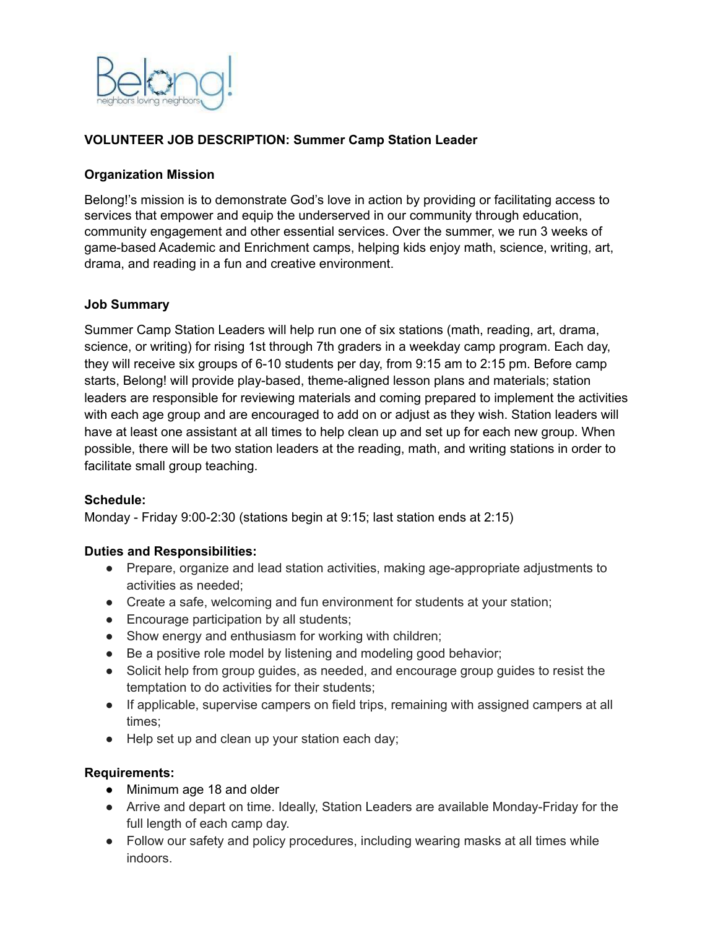

## **VOLUNTEER JOB DESCRIPTION: Summer Camp Station Leader**

### **Organization Mission**

Belong!'s mission is to demonstrate God's love in action by providing or facilitating access to services that empower and equip the underserved in our community through education, community engagement and other essential services. Over the summer, we run 3 weeks of game-based Academic and Enrichment camps, helping kids enjoy math, science, writing, art, drama, and reading in a fun and creative environment.

### **Job Summary**

Summer Camp Station Leaders will help run one of six stations (math, reading, art, drama, science, or writing) for rising 1st through 7th graders in a weekday camp program. Each day, they will receive six groups of 6-10 students per day, from 9:15 am to 2:15 pm. Before camp starts, Belong! will provide play-based, theme-aligned lesson plans and materials; station leaders are responsible for reviewing materials and coming prepared to implement the activities with each age group and are encouraged to add on or adjust as they wish. Station leaders will have at least one assistant at all times to help clean up and set up for each new group. When possible, there will be two station leaders at the reading, math, and writing stations in order to facilitate small group teaching.

#### **Schedule:**

Monday - Friday 9:00-2:30 (stations begin at 9:15; last station ends at 2:15)

#### **Duties and Responsibilities:**

- Prepare, organize and lead station activities, making age-appropriate adjustments to activities as needed;
- Create a safe, welcoming and fun environment for students at your station;
- Encourage participation by all students;
- Show energy and enthusiasm for working with children;
- Be a positive role model by listening and modeling good behavior;
- Solicit help from group guides, as needed, and encourage group guides to resist the temptation to do activities for their students;
- If applicable, supervise campers on field trips, remaining with assigned campers at all times;
- Help set up and clean up your station each day;

### **Requirements:**

- Minimum age 18 and older
- Arrive and depart on time. Ideally, Station Leaders are available Monday-Friday for the full length of each camp day.
- Follow our safety and policy procedures, including wearing masks at all times while indoors.